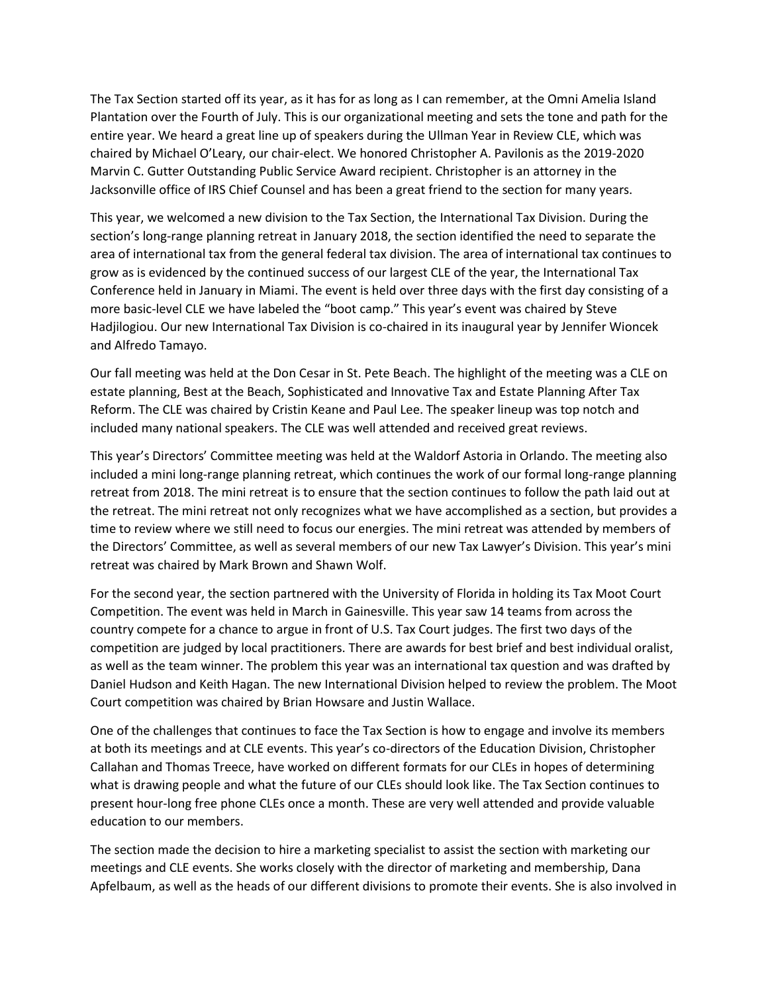The Tax Section started off its year, as it has for as long as I can remember, at the Omni Amelia Island Plantation over the Fourth of July. This is our organizational meeting and sets the tone and path for the entire year. We heard a great line up of speakers during the Ullman Year in Review CLE, which was chaired by Michael O'Leary, our chair-elect. We honored Christopher A. Pavilonis as the 2019-2020 Marvin C. Gutter Outstanding Public Service Award recipient. Christopher is an attorney in the Jacksonville office of IRS Chief Counsel and has been a great friend to the section for many years.

This year, we welcomed a new division to the Tax Section, the International Tax Division. During the section's long-range planning retreat in January 2018, the section identified the need to separate the area of international tax from the general federal tax division. The area of international tax continues to grow as is evidenced by the continued success of our largest CLE of the year, the International Tax Conference held in January in Miami. The event is held over three days with the first day consisting of a more basic-level CLE we have labeled the "boot camp." This year's event was chaired by Steve Hadjilogiou. Our new International Tax Division is co-chaired in its inaugural year by Jennifer Wioncek and Alfredo Tamayo.

Our fall meeting was held at the Don Cesar in St. Pete Beach. The highlight of the meeting was a CLE on estate planning, Best at the Beach, Sophisticated and Innovative Tax and Estate Planning After Tax Reform. The CLE was chaired by Cristin Keane and Paul Lee. The speaker lineup was top notch and included many national speakers. The CLE was well attended and received great reviews.

This year's Directors' Committee meeting was held at the Waldorf Astoria in Orlando. The meeting also included a mini long-range planning retreat, which continues the work of our formal long-range planning retreat from 2018. The mini retreat is to ensure that the section continues to follow the path laid out at the retreat. The mini retreat not only recognizes what we have accomplished as a section, but provides a time to review where we still need to focus our energies. The mini retreat was attended by members of the Directors' Committee, as well as several members of our new Tax Lawyer's Division. This year's mini retreat was chaired by Mark Brown and Shawn Wolf.

For the second year, the section partnered with the University of Florida in holding its Tax Moot Court Competition. The event was held in March in Gainesville. This year saw 14 teams from across the country compete for a chance to argue in front of U.S. Tax Court judges. The first two days of the competition are judged by local practitioners. There are awards for best brief and best individual oralist, as well as the team winner. The problem this year was an international tax question and was drafted by Daniel Hudson and Keith Hagan. The new International Division helped to review the problem. The Moot Court competition was chaired by Brian Howsare and Justin Wallace.

One of the challenges that continues to face the Tax Section is how to engage and involve its members at both its meetings and at CLE events. This year's co-directors of the Education Division, Christopher Callahan and Thomas Treece, have worked on different formats for our CLEs in hopes of determining what is drawing people and what the future of our CLEs should look like. The Tax Section continues to present hour-long free phone CLEs once a month. These are very well attended and provide valuable education to our members.

The section made the decision to hire a marketing specialist to assist the section with marketing our meetings and CLE events. She works closely with the director of marketing and membership, Dana Apfelbaum, as well as the heads of our different divisions to promote their events. She is also involved in